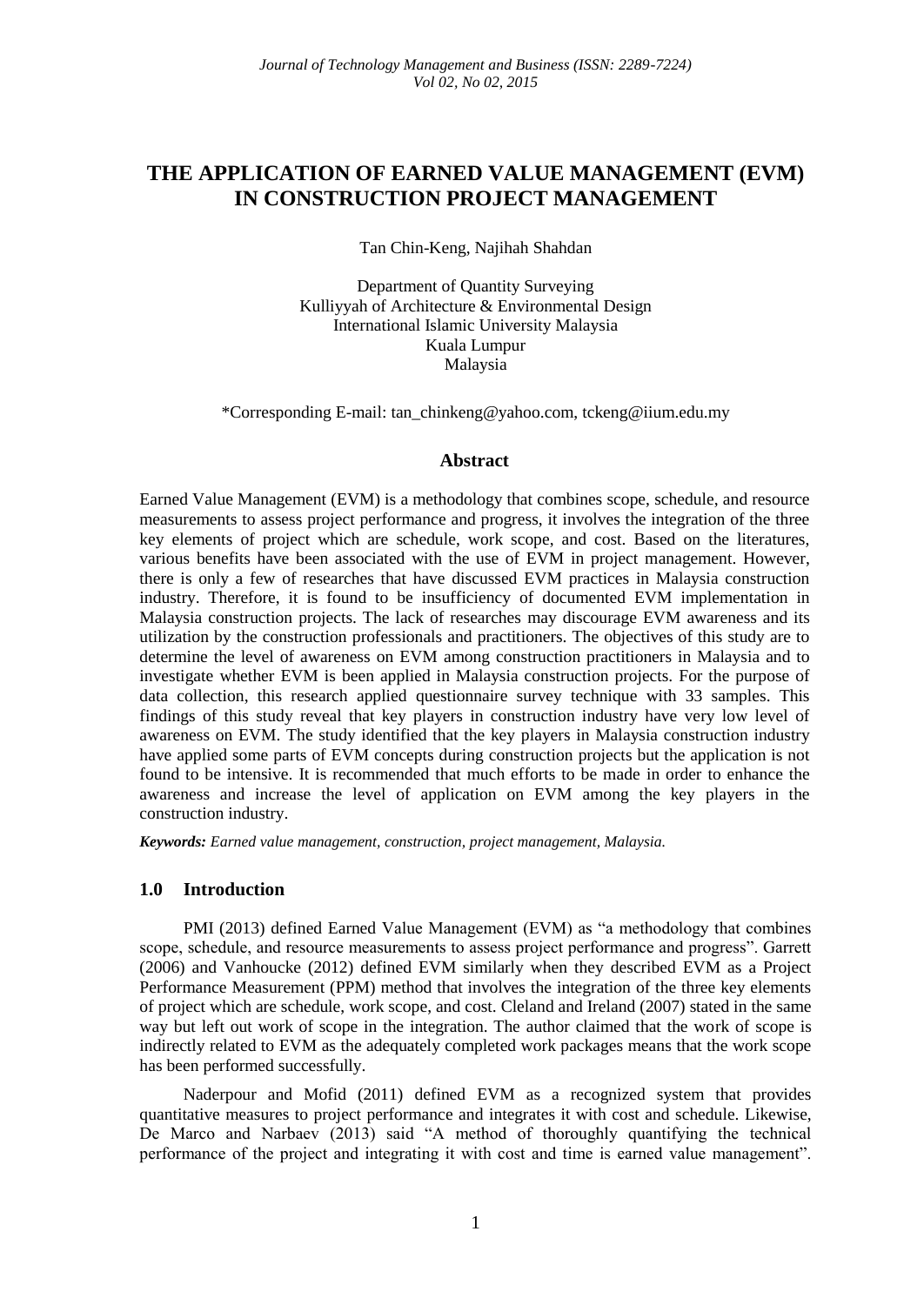# **THE APPLICATION OF EARNED VALUE MANAGEMENT (EVM) IN CONSTRUCTION PROJECT MANAGEMENT**

Tan Chin-Keng, Najihah Shahdan

Department of Quantity Surveying Kulliyyah of Architecture & Environmental Design International Islamic University Malaysia Kuala Lumpur Malaysia

\*Corresponding E-mail: tan\_chinkeng@yahoo.com, tckeng@iium.edu.my

#### **Abstract**

Earned Value Management (EVM) is a methodology that combines scope, schedule, and resource measurements to assess project performance and progress, it involves the integration of the three key elements of project which are schedule, work scope, and cost. Based on the literatures, various benefits have been associated with the use of EVM in project management. However, there is only a few of researches that have discussed EVM practices in Malaysia construction industry. Therefore, it is found to be insufficiency of documented EVM implementation in Malaysia construction projects. The lack of researches may discourage EVM awareness and its utilization by the construction professionals and practitioners. The objectives of this study are to determine the level of awareness on EVM among construction practitioners in Malaysia and to investigate whether EVM is been applied in Malaysia construction projects. For the purpose of data collection, this research applied questionnaire survey technique with 33 samples. This findings of this study reveal that key players in construction industry have very low level of awareness on EVM. The study identified that the key players in Malaysia construction industry have applied some parts of EVM concepts during construction projects but the application is not found to be intensive. It is recommended that much efforts to be made in order to enhance the awareness and increase the level of application on EVM among the key players in the construction industry.

*Keywords: Earned value management, construction, project management, Malaysia.*

### **1.0 Introduction**

PMI (2013) defined Earned Value Management (EVM) as "a methodology that combines scope, schedule, and resource measurements to assess project performance and progress". Garrett (2006) and Vanhoucke (2012) defined EVM similarly when they described EVM as a Project Performance Measurement (PPM) method that involves the integration of the three key elements of project which are schedule, work scope, and cost. Cleland and Ireland (2007) stated in the same way but left out work of scope in the integration. The author claimed that the work of scope is indirectly related to EVM as the adequately completed work packages means that the work scope has been performed successfully.

Naderpour and Mofid (2011) defined EVM as a recognized system that provides quantitative measures to project performance and integrates it with cost and schedule. Likewise, De Marco and Narbaev (2013) said "A method of thoroughly quantifying the technical performance of the project and integrating it with cost and time is earned value management".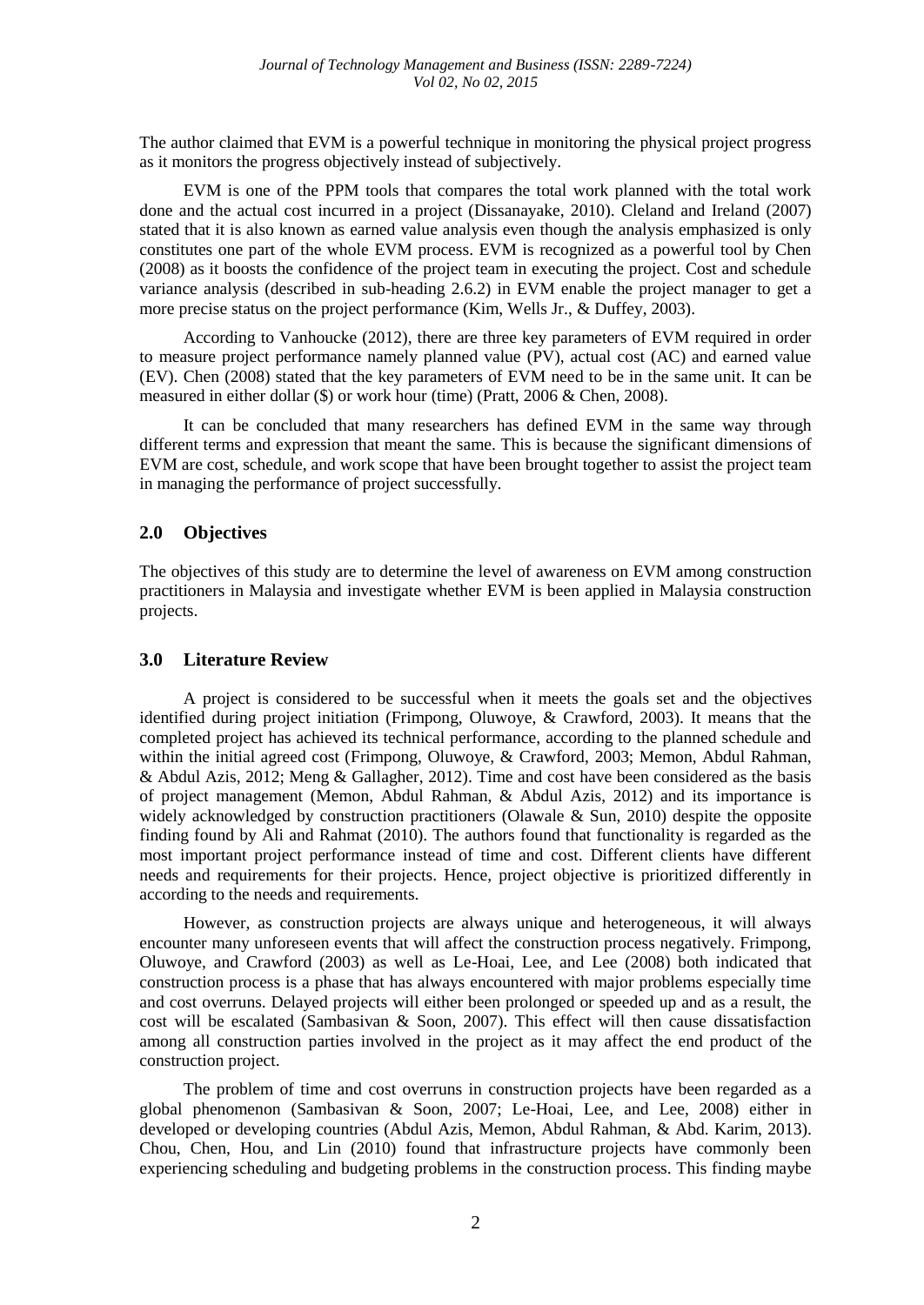The author claimed that EVM is a powerful technique in monitoring the physical project progress as it monitors the progress objectively instead of subjectively.

EVM is one of the PPM tools that compares the total work planned with the total work done and the actual cost incurred in a project (Dissanayake, 2010). Cleland and Ireland (2007) stated that it is also known as earned value analysis even though the analysis emphasized is only constitutes one part of the whole EVM process. EVM is recognized as a powerful tool by Chen (2008) as it boosts the confidence of the project team in executing the project. Cost and schedule variance analysis (described in sub-heading 2.6.2) in EVM enable the project manager to get a more precise status on the project performance (Kim, Wells Jr., & Duffey, 2003).

According to Vanhoucke (2012), there are three key parameters of EVM required in order to measure project performance namely planned value (PV), actual cost (AC) and earned value (EV). Chen (2008) stated that the key parameters of EVM need to be in the same unit. It can be measured in either dollar (\$) or work hour (time) (Pratt, 2006 & Chen, 2008).

It can be concluded that many researchers has defined EVM in the same way through different terms and expression that meant the same. This is because the significant dimensions of EVM are cost, schedule, and work scope that have been brought together to assist the project team in managing the performance of project successfully.

## **2.0 Objectives**

The objectives of this study are to determine the level of awareness on EVM among construction practitioners in Malaysia and investigate whether EVM is been applied in Malaysia construction projects.

### **3.0 Literature Review**

A project is considered to be successful when it meets the goals set and the objectives identified during project initiation (Frimpong, Oluwoye, & Crawford, 2003). It means that the completed project has achieved its technical performance, according to the planned schedule and within the initial agreed cost (Frimpong, Oluwoye, & Crawford, 2003; Memon, Abdul Rahman, & Abdul Azis, 2012; Meng & Gallagher, 2012). Time and cost have been considered as the basis of project management (Memon, Abdul Rahman, & Abdul Azis, 2012) and its importance is widely acknowledged by construction practitioners (Olawale & Sun, 2010) despite the opposite finding found by Ali and Rahmat (2010). The authors found that functionality is regarded as the most important project performance instead of time and cost. Different clients have different needs and requirements for their projects. Hence, project objective is prioritized differently in according to the needs and requirements.

However, as construction projects are always unique and heterogeneous, it will always encounter many unforeseen events that will affect the construction process negatively. Frimpong, Oluwoye, and Crawford (2003) as well as Le-Hoai, Lee, and Lee (2008) both indicated that construction process is a phase that has always encountered with major problems especially time and cost overruns. Delayed projects will either been prolonged or speeded up and as a result, the cost will be escalated (Sambasivan & Soon, 2007). This effect will then cause dissatisfaction among all construction parties involved in the project as it may affect the end product of the construction project.

The problem of time and cost overruns in construction projects have been regarded as a global phenomenon (Sambasivan & Soon, 2007; Le-Hoai, Lee, and Lee, 2008) either in developed or developing countries (Abdul Azis, Memon, Abdul Rahman, & Abd. Karim, 2013). Chou, Chen, Hou, and Lin (2010) found that infrastructure projects have commonly been experiencing scheduling and budgeting problems in the construction process. This finding maybe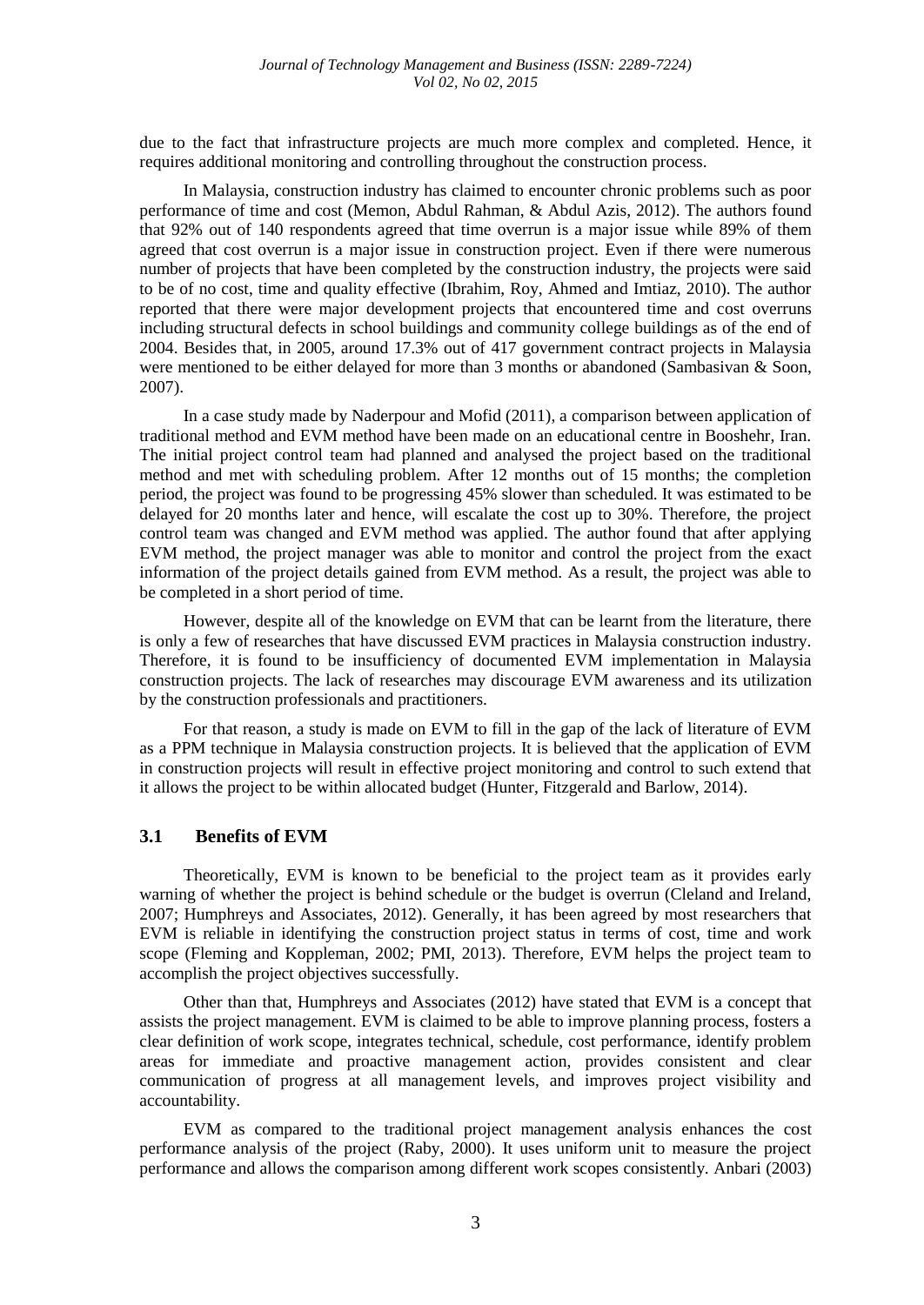due to the fact that infrastructure projects are much more complex and completed. Hence, it requires additional monitoring and controlling throughout the construction process.

In Malaysia, construction industry has claimed to encounter chronic problems such as poor performance of time and cost (Memon, Abdul Rahman, & Abdul Azis, 2012). The authors found that 92% out of 140 respondents agreed that time overrun is a major issue while 89% of them agreed that cost overrun is a major issue in construction project. Even if there were numerous number of projects that have been completed by the construction industry, the projects were said to be of no cost, time and quality effective (Ibrahim, Roy, Ahmed and Imtiaz, 2010). The author reported that there were major development projects that encountered time and cost overruns including structural defects in school buildings and community college buildings as of the end of 2004. Besides that, in 2005, around 17.3% out of 417 government contract projects in Malaysia were mentioned to be either delayed for more than 3 months or abandoned (Sambasivan & Soon, 2007).

In a case study made by Naderpour and Mofid (2011), a comparison between application of traditional method and EVM method have been made on an educational centre in Booshehr, Iran. The initial project control team had planned and analysed the project based on the traditional method and met with scheduling problem. After 12 months out of 15 months; the completion period, the project was found to be progressing 45% slower than scheduled. It was estimated to be delayed for 20 months later and hence, will escalate the cost up to 30%. Therefore, the project control team was changed and EVM method was applied. The author found that after applying EVM method, the project manager was able to monitor and control the project from the exact information of the project details gained from EVM method. As a result, the project was able to be completed in a short period of time.

However, despite all of the knowledge on EVM that can be learnt from the literature, there is only a few of researches that have discussed EVM practices in Malaysia construction industry. Therefore, it is found to be insufficiency of documented EVM implementation in Malaysia construction projects. The lack of researches may discourage EVM awareness and its utilization by the construction professionals and practitioners.

For that reason, a study is made on EVM to fill in the gap of the lack of literature of EVM as a PPM technique in Malaysia construction projects. It is believed that the application of EVM in construction projects will result in effective project monitoring and control to such extend that it allows the project to be within allocated budget (Hunter, Fitzgerald and Barlow, 2014).

# **3.1 Benefits of EVM**

Theoretically, EVM is known to be beneficial to the project team as it provides early warning of whether the project is behind schedule or the budget is overrun (Cleland and Ireland, 2007; Humphreys and Associates, 2012). Generally, it has been agreed by most researchers that EVM is reliable in identifying the construction project status in terms of cost, time and work scope (Fleming and Koppleman, 2002; PMI, 2013). Therefore, EVM helps the project team to accomplish the project objectives successfully.

Other than that, Humphreys and Associates (2012) have stated that EVM is a concept that assists the project management. EVM is claimed to be able to improve planning process, fosters a clear definition of work scope, integrates technical, schedule, cost performance, identify problem areas for immediate and proactive management action, provides consistent and clear communication of progress at all management levels, and improves project visibility and accountability.

EVM as compared to the traditional project management analysis enhances the cost performance analysis of the project (Raby, 2000). It uses uniform unit to measure the project performance and allows the comparison among different work scopes consistently. Anbari (2003)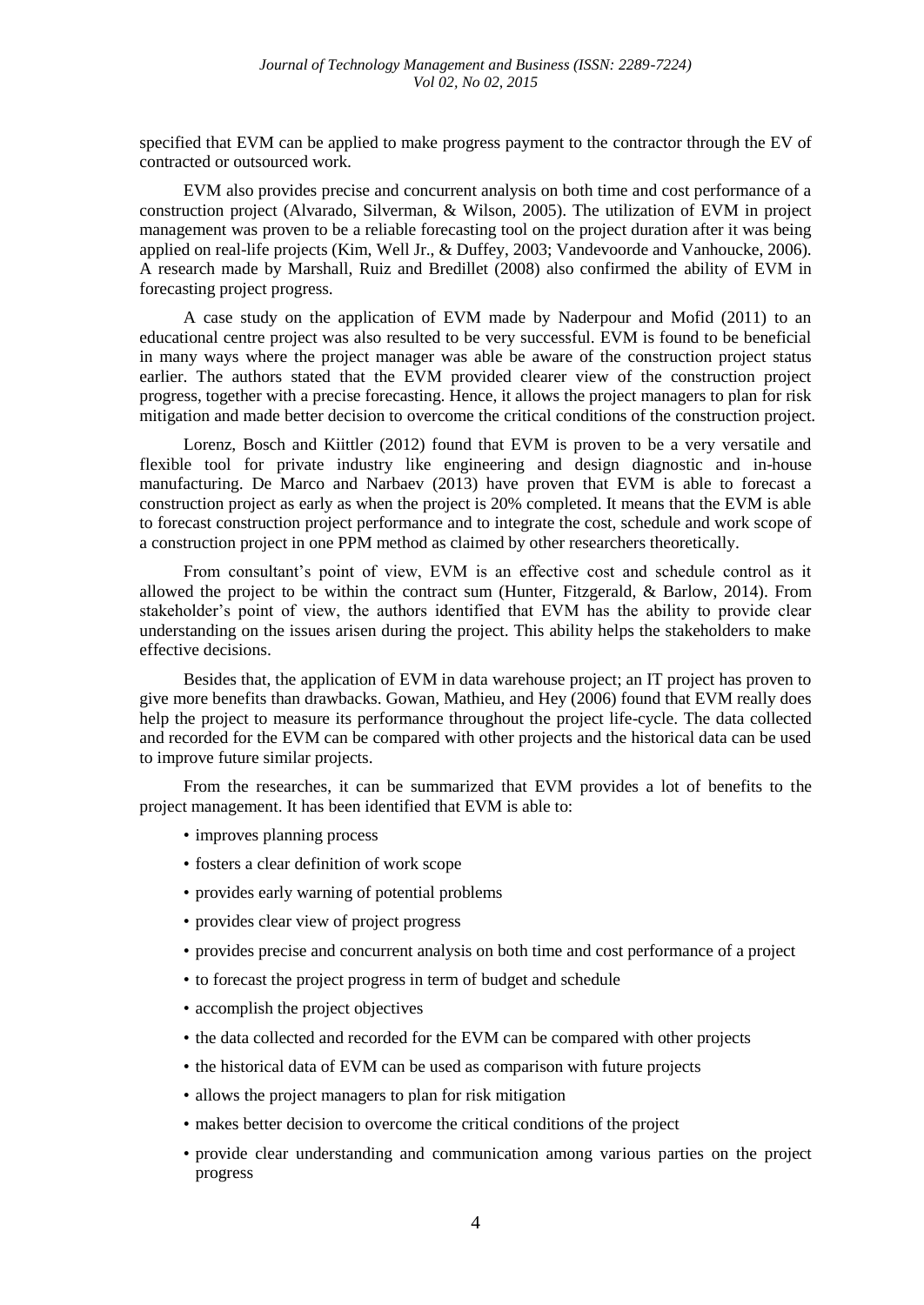specified that EVM can be applied to make progress payment to the contractor through the EV of contracted or outsourced work.

EVM also provides precise and concurrent analysis on both time and cost performance of a construction project (Alvarado, Silverman, & Wilson, 2005). The utilization of EVM in project management was proven to be a reliable forecasting tool on the project duration after it was being applied on real-life projects (Kim, Well Jr., & Duffey, 2003; Vandevoorde and Vanhoucke, 2006). A research made by Marshall, Ruiz and Bredillet (2008) also confirmed the ability of EVM in forecasting project progress.

A case study on the application of EVM made by Naderpour and Mofid (2011) to an educational centre project was also resulted to be very successful. EVM is found to be beneficial in many ways where the project manager was able be aware of the construction project status earlier. The authors stated that the EVM provided clearer view of the construction project progress, together with a precise forecasting. Hence, it allows the project managers to plan for risk mitigation and made better decision to overcome the critical conditions of the construction project.

Lorenz, Bosch and Kiittler (2012) found that EVM is proven to be a very versatile and flexible tool for private industry like engineering and design diagnostic and in-house manufacturing. De Marco and Narbaev (2013) have proven that EVM is able to forecast a construction project as early as when the project is 20% completed. It means that the EVM is able to forecast construction project performance and to integrate the cost, schedule and work scope of a construction project in one PPM method as claimed by other researchers theoretically.

From consultant's point of view, EVM is an effective cost and schedule control as it allowed the project to be within the contract sum (Hunter, Fitzgerald, & Barlow, 2014). From stakeholder's point of view, the authors identified that EVM has the ability to provide clear understanding on the issues arisen during the project. This ability helps the stakeholders to make effective decisions.

Besides that, the application of EVM in data warehouse project; an IT project has proven to give more benefits than drawbacks. Gowan, Mathieu, and Hey (2006) found that EVM really does help the project to measure its performance throughout the project life-cycle. The data collected and recorded for the EVM can be compared with other projects and the historical data can be used to improve future similar projects.

From the researches, it can be summarized that EVM provides a lot of benefits to the project management. It has been identified that EVM is able to:

- improves planning process
- fosters a clear definition of work scope
- provides early warning of potential problems
- provides clear view of project progress
- provides precise and concurrent analysis on both time and cost performance of a project
- to forecast the project progress in term of budget and schedule
- accomplish the project objectives
- the data collected and recorded for the EVM can be compared with other projects
- the historical data of EVM can be used as comparison with future projects
- allows the project managers to plan for risk mitigation
- makes better decision to overcome the critical conditions of the project
- provide clear understanding and communication among various parties on the project progress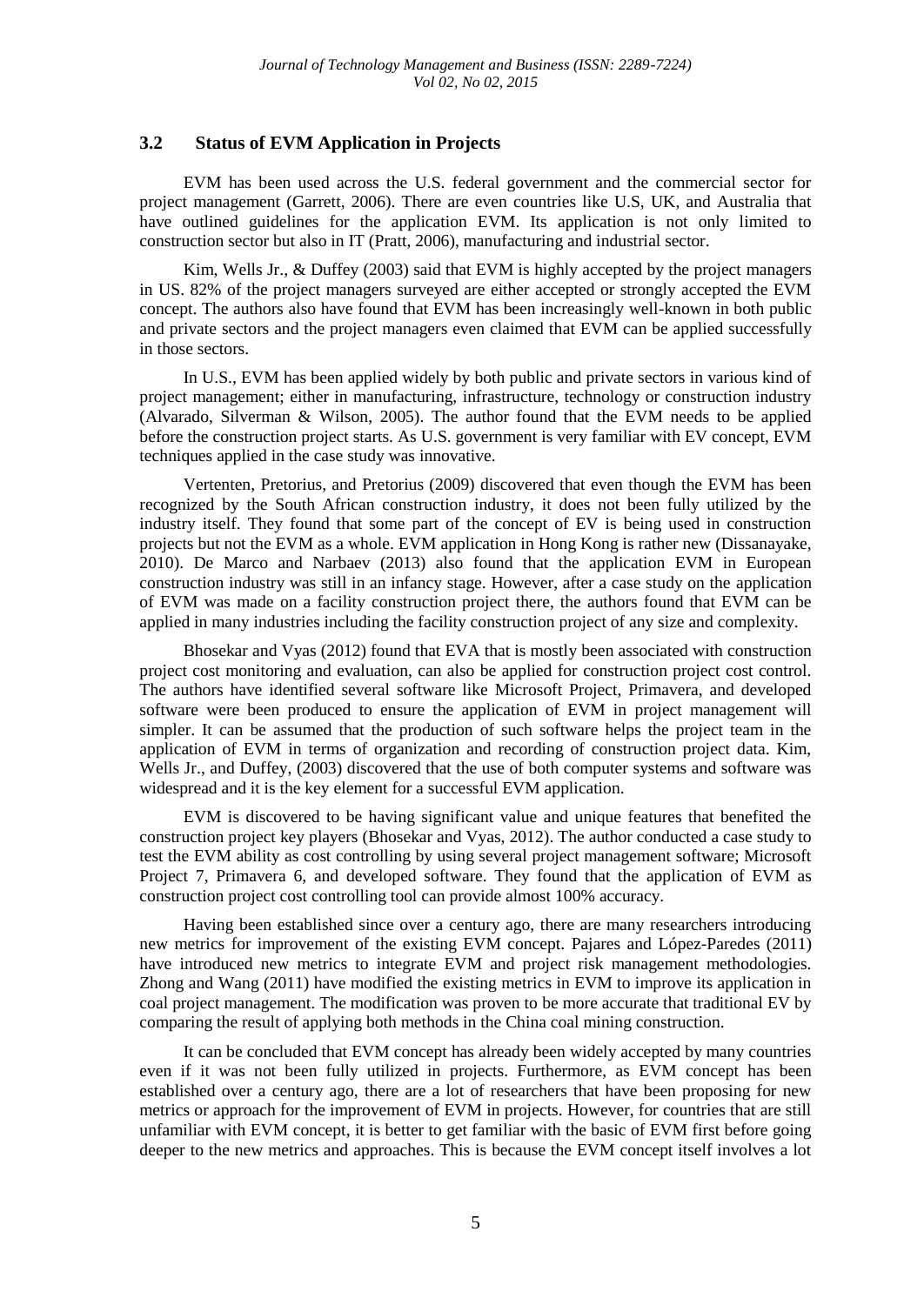### **3.2 Status of EVM Application in Projects**

EVM has been used across the U.S. federal government and the commercial sector for project management (Garrett, 2006). There are even countries like U.S, UK, and Australia that have outlined guidelines for the application EVM. Its application is not only limited to construction sector but also in IT (Pratt, 2006), manufacturing and industrial sector.

Kim, Wells Jr., & Duffey (2003) said that EVM is highly accepted by the project managers in US. 82% of the project managers surveyed are either accepted or strongly accepted the EVM concept. The authors also have found that EVM has been increasingly well-known in both public and private sectors and the project managers even claimed that EVM can be applied successfully in those sectors.

In U.S., EVM has been applied widely by both public and private sectors in various kind of project management; either in manufacturing, infrastructure, technology or construction industry (Alvarado, Silverman & Wilson, 2005). The author found that the EVM needs to be applied before the construction project starts. As U.S. government is very familiar with EV concept, EVM techniques applied in the case study was innovative.

Vertenten, Pretorius, and Pretorius (2009) discovered that even though the EVM has been recognized by the South African construction industry, it does not been fully utilized by the industry itself. They found that some part of the concept of EV is being used in construction projects but not the EVM as a whole. EVM application in Hong Kong is rather new (Dissanayake, 2010). De Marco and Narbaev (2013) also found that the application EVM in European construction industry was still in an infancy stage. However, after a case study on the application of EVM was made on a facility construction project there, the authors found that EVM can be applied in many industries including the facility construction project of any size and complexity.

Bhosekar and Vyas (2012) found that EVA that is mostly been associated with construction project cost monitoring and evaluation, can also be applied for construction project cost control. The authors have identified several software like Microsoft Project, Primavera, and developed software were been produced to ensure the application of EVM in project management will simpler. It can be assumed that the production of such software helps the project team in the application of EVM in terms of organization and recording of construction project data. Kim, Wells Jr., and Duffey, (2003) discovered that the use of both computer systems and software was widespread and it is the key element for a successful EVM application.

EVM is discovered to be having significant value and unique features that benefited the construction project key players (Bhosekar and Vyas, 2012). The author conducted a case study to test the EVM ability as cost controlling by using several project management software; Microsoft Project 7, Primavera 6, and developed software. They found that the application of EVM as construction project cost controlling tool can provide almost 100% accuracy.

Having been established since over a century ago, there are many researchers introducing new metrics for improvement of the existing EVM concept. Pajares and López-Paredes (2011) have introduced new metrics to integrate EVM and project risk management methodologies. Zhong and Wang (2011) have modified the existing metrics in EVM to improve its application in coal project management. The modification was proven to be more accurate that traditional EV by comparing the result of applying both methods in the China coal mining construction.

It can be concluded that EVM concept has already been widely accepted by many countries even if it was not been fully utilized in projects. Furthermore, as EVM concept has been established over a century ago, there are a lot of researchers that have been proposing for new metrics or approach for the improvement of EVM in projects. However, for countries that are still unfamiliar with EVM concept, it is better to get familiar with the basic of EVM first before going deeper to the new metrics and approaches. This is because the EVM concept itself involves a lot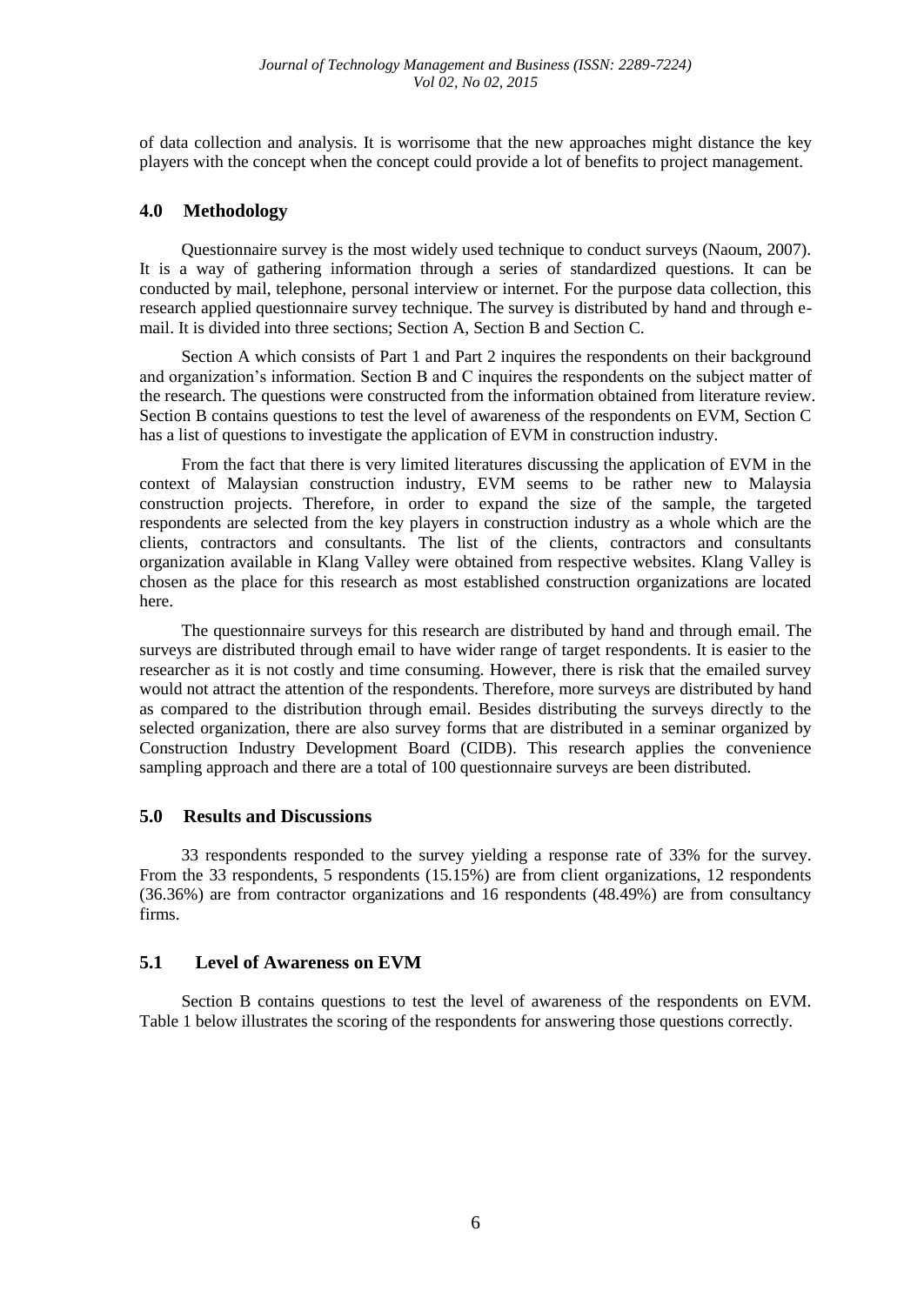of data collection and analysis. It is worrisome that the new approaches might distance the key players with the concept when the concept could provide a lot of benefits to project management.

# **4.0 Methodology**

Questionnaire survey is the most widely used technique to conduct surveys (Naoum, 2007). It is a way of gathering information through a series of standardized questions. It can be conducted by mail, telephone, personal interview or internet. For the purpose data collection, this research applied questionnaire survey technique. The survey is distributed by hand and through email. It is divided into three sections; Section A, Section B and Section C.

Section A which consists of Part 1 and Part 2 inquires the respondents on their background and organization's information. Section B and C inquires the respondents on the subject matter of the research. The questions were constructed from the information obtained from literature review. Section B contains questions to test the level of awareness of the respondents on EVM, Section C has a list of questions to investigate the application of EVM in construction industry.

From the fact that there is very limited literatures discussing the application of EVM in the context of Malaysian construction industry, EVM seems to be rather new to Malaysia construction projects. Therefore, in order to expand the size of the sample, the targeted respondents are selected from the key players in construction industry as a whole which are the clients, contractors and consultants. The list of the clients, contractors and consultants organization available in Klang Valley were obtained from respective websites. Klang Valley is chosen as the place for this research as most established construction organizations are located here.

The questionnaire surveys for this research are distributed by hand and through email. The surveys are distributed through email to have wider range of target respondents. It is easier to the researcher as it is not costly and time consuming. However, there is risk that the emailed survey would not attract the attention of the respondents. Therefore, more surveys are distributed by hand as compared to the distribution through email. Besides distributing the surveys directly to the selected organization, there are also survey forms that are distributed in a seminar organized by Construction Industry Development Board (CIDB). This research applies the convenience sampling approach and there are a total of 100 questionnaire surveys are been distributed.

### **5.0 Results and Discussions**

33 respondents responded to the survey yielding a response rate of 33% for the survey. From the 33 respondents, 5 respondents (15.15%) are from client organizations, 12 respondents (36.36%) are from contractor organizations and 16 respondents (48.49%) are from consultancy firms.

# **5.1 Level of Awareness on EVM**

Section B contains questions to test the level of awareness of the respondents on EVM. Table 1 below illustrates the scoring of the respondents for answering those questions correctly.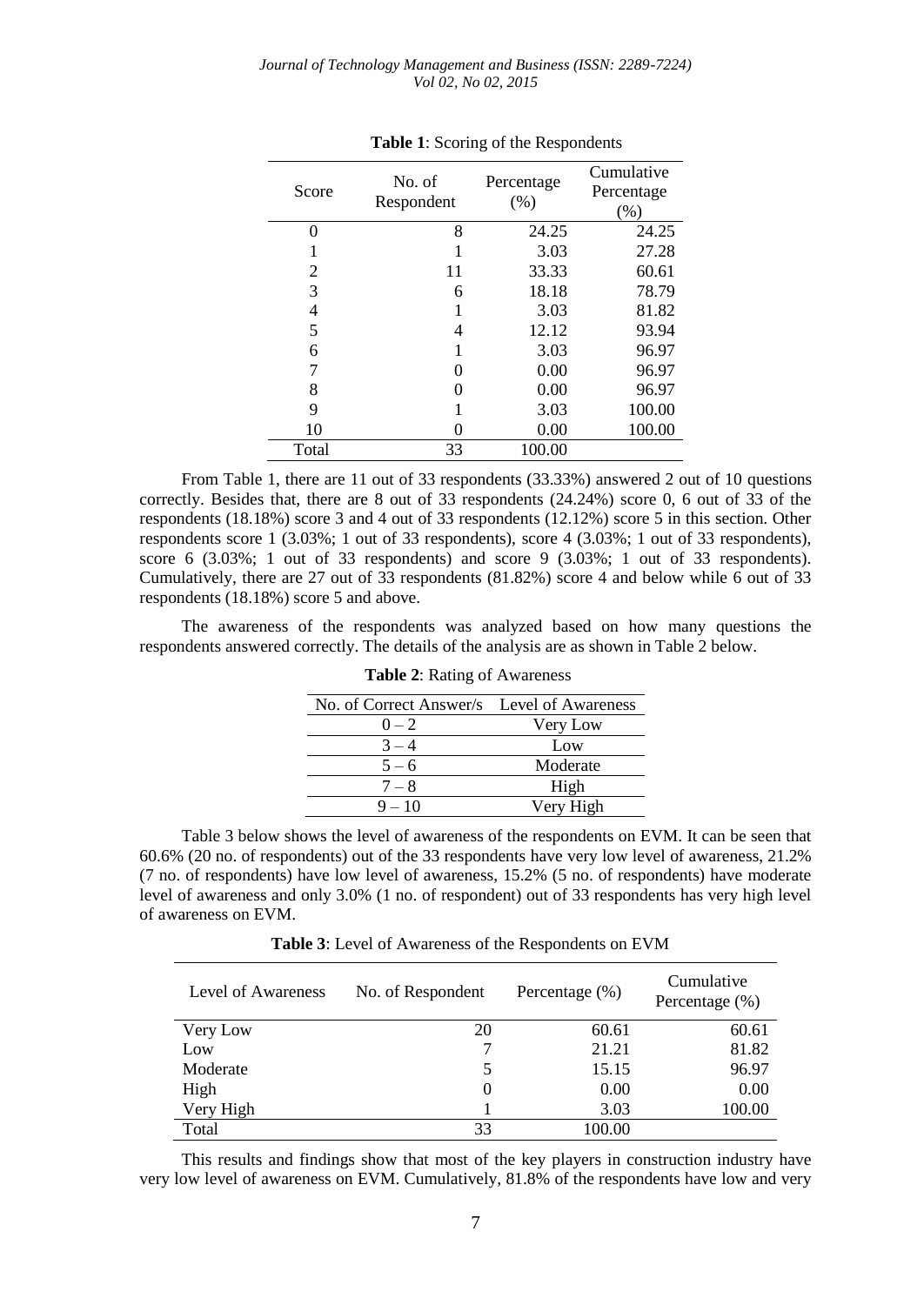| Score | No. of<br>Respondent | Percentage<br>(% ) | Cumulative<br>Percentage<br>(% ) |  |  |
|-------|----------------------|--------------------|----------------------------------|--|--|
| 0     | 8                    | 24.25              | 24.25                            |  |  |
|       |                      | 3.03               | 27.28                            |  |  |
| 2     | 11                   | 33.33              | 60.61                            |  |  |
| 3     | 6                    | 18.18              | 78.79                            |  |  |
| 4     |                      | 3.03               | 81.82                            |  |  |
| 5     | 4                    | 12.12              | 93.94                            |  |  |
| 6     |                      | 3.03               | 96.97                            |  |  |
|       | 0                    | 0.00               | 96.97                            |  |  |
| 8     |                      | 0.00               | 96.97                            |  |  |
| 9     |                      | 3.03               | 100.00                           |  |  |
| 10    |                      | 0.00               | 100.00                           |  |  |
| Total | 33                   | 100.00             |                                  |  |  |

**Table 1**: Scoring of the Respondents

From Table 1, there are 11 out of 33 respondents (33.33%) answered 2 out of 10 questions correctly. Besides that, there are 8 out of 33 respondents (24.24%) score 0, 6 out of 33 of the respondents (18.18%) score 3 and 4 out of 33 respondents (12.12%) score 5 in this section. Other respondents score 1 (3.03%; 1 out of 33 respondents), score 4 (3.03%; 1 out of 33 respondents), score 6 (3.03%; 1 out of 33 respondents) and score 9 (3.03%; 1 out of 33 respondents). Cumulatively, there are 27 out of 33 respondents (81.82%) score 4 and below while 6 out of 33 respondents (18.18%) score 5 and above.

The awareness of the respondents was analyzed based on how many questions the respondents answered correctly. The details of the analysis are as shown in Table 2 below.

| No. of Correct Answer/s Level of Awareness |           |  |  |
|--------------------------------------------|-----------|--|--|
| $0 - 2$                                    | Very Low  |  |  |
| $3 - 4$                                    | Low       |  |  |
| $5 - 6$                                    | Moderate  |  |  |
| $7 - 8$                                    | High      |  |  |
| $9 - 10$                                   | Very High |  |  |

**Table 2**: Rating of Awareness

Table 3 below shows the level of awareness of the respondents on EVM. It can be seen that 60.6% (20 no. of respondents) out of the 33 respondents have very low level of awareness, 21.2% (7 no. of respondents) have low level of awareness, 15.2% (5 no. of respondents) have moderate level of awareness and only 3.0% (1 no. of respondent) out of 33 respondents has very high level of awareness on EVM.

**Table 3**: Level of Awareness of the Respondents on EVM

| Level of Awareness | No. of Respondent | Percentage $(\%)$ | Cumulative<br>Percentage $(\%)$ |
|--------------------|-------------------|-------------------|---------------------------------|
| Very Low           | 20                | 60.61             | 60.61                           |
| Low                | 7                 | 21.21             | 81.82                           |
| Moderate           | 5                 | 15.15             | 96.97                           |
| High               | $\theta$          | 0.00              | 0.00                            |
| Very High          |                   | 3.03              | 100.00                          |
| Total              | 33                | 100.00            |                                 |

This results and findings show that most of the key players in construction industry have very low level of awareness on EVM. Cumulatively, 81.8% of the respondents have low and very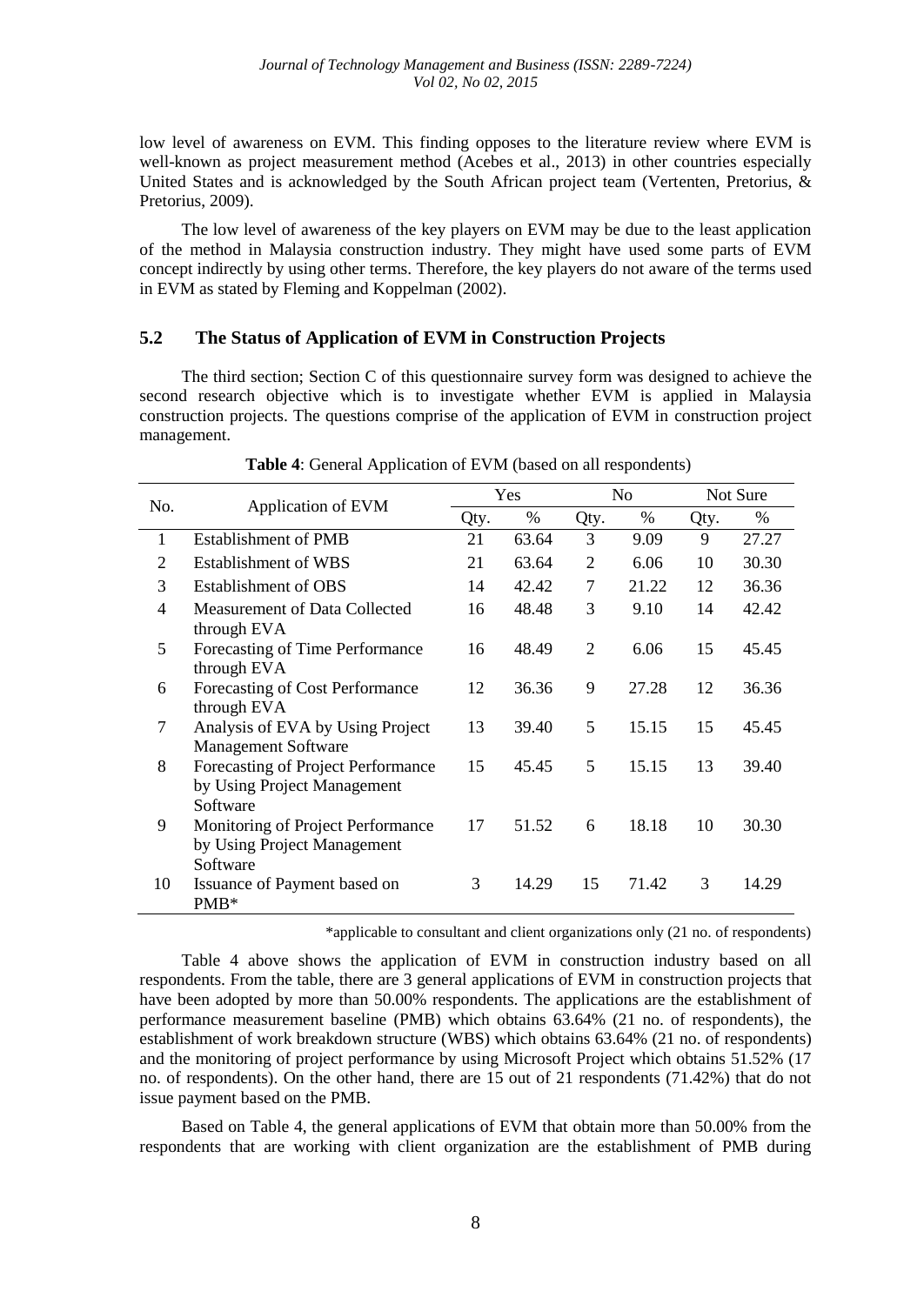low level of awareness on EVM. This finding opposes to the literature review where EVM is well-known as project measurement method (Acebes et al., 2013) in other countries especially United States and is acknowledged by the South African project team (Vertenten, Pretorius, & Pretorius, 2009).

The low level of awareness of the key players on EVM may be due to the least application of the method in Malaysia construction industry. They might have used some parts of EVM concept indirectly by using other terms. Therefore, the key players do not aware of the terms used in EVM as stated by Fleming and Koppelman (2002).

## **5.2 The Status of Application of EVM in Construction Projects**

The third section; Section C of this questionnaire survey form was designed to achieve the second research objective which is to investigate whether EVM is applied in Malaysia construction projects. The questions comprise of the application of EVM in construction project management.

| No. | Application of EVM                                                            | Yes  |       | N <sub>o</sub> |       | Not Sure |       |
|-----|-------------------------------------------------------------------------------|------|-------|----------------|-------|----------|-------|
|     |                                                                               | Qty. | $\%$  | Qty.           | $\%$  | Qty.     | %     |
| 1   | <b>Establishment of PMB</b>                                                   | 21   | 63.64 | 3              | 9.09  | 9        | 27.27 |
| 2   | <b>Establishment of WBS</b>                                                   | 21   | 63.64 | 2              | 6.06  | 10       | 30.30 |
| 3   | Establishment of OBS                                                          | 14   | 42.42 | 7              | 21.22 | 12       | 36.36 |
| 4   | Measurement of Data Collected<br>through EVA                                  | 16   | 48.48 | 3              | 9.10  | 14       | 42.42 |
| 5   | Forecasting of Time Performance<br>through EVA                                | 16   | 48.49 | $\mathfrak{D}$ | 6.06  | 15       | 45.45 |
| 6   | Forecasting of Cost Performance<br>through EVA                                | 12   | 36.36 | 9              | 27.28 | 12       | 36.36 |
| 7   | Analysis of EVA by Using Project<br><b>Management Software</b>                | 13   | 39.40 | 5              | 15.15 | 15       | 45.45 |
| 8   | Forecasting of Project Performance<br>by Using Project Management<br>Software | 15   | 45.45 | 5              | 15.15 | 13       | 39.40 |
| 9   | Monitoring of Project Performance<br>by Using Project Management<br>Software  | 17   | 51.52 | 6              | 18.18 | 10       | 30.30 |
| 10  | Issuance of Payment based on<br>PMB*                                          | 3    | 14.29 | 15             | 71.42 | 3        | 14.29 |

**Table 4**: General Application of EVM (based on all respondents)

\*applicable to consultant and client organizations only (21 no. of respondents)

Table 4 above shows the application of EVM in construction industry based on all respondents. From the table, there are 3 general applications of EVM in construction projects that have been adopted by more than 50.00% respondents. The applications are the establishment of performance measurement baseline (PMB) which obtains 63.64% (21 no. of respondents), the establishment of work breakdown structure (WBS) which obtains 63.64% (21 no. of respondents) and the monitoring of project performance by using Microsoft Project which obtains 51.52% (17 no. of respondents). On the other hand, there are 15 out of 21 respondents (71.42%) that do not issue payment based on the PMB.

Based on Table 4, the general applications of EVM that obtain more than 50.00% from the respondents that are working with client organization are the establishment of PMB during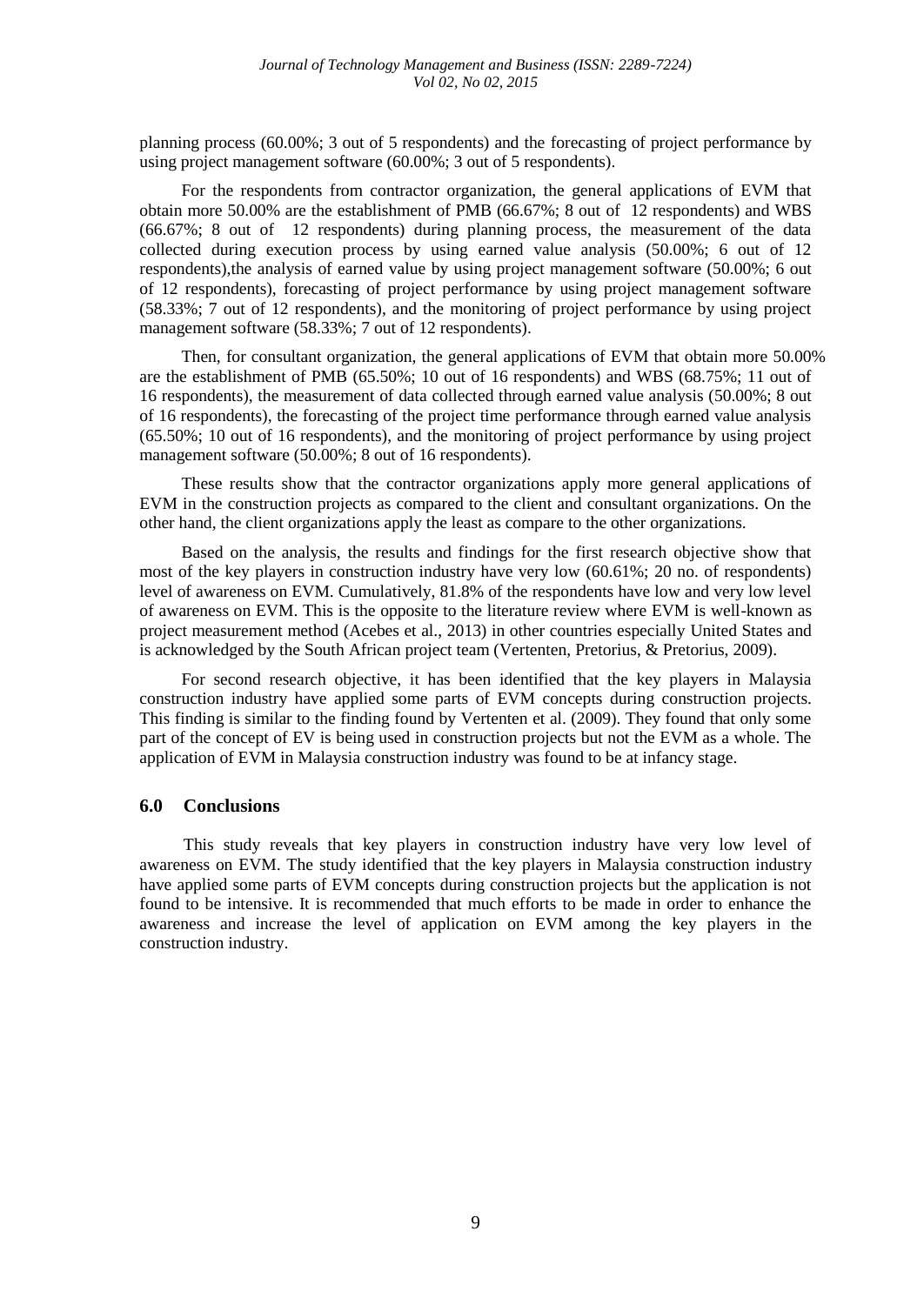planning process (60.00%; 3 out of 5 respondents) and the forecasting of project performance by using project management software (60.00%; 3 out of 5 respondents).

For the respondents from contractor organization, the general applications of EVM that obtain more 50.00% are the establishment of PMB (66.67%; 8 out of 12 respondents) and WBS (66.67%; 8 out of 12 respondents) during planning process, the measurement of the data collected during execution process by using earned value analysis (50.00%; 6 out of 12 respondents),the analysis of earned value by using project management software (50.00%; 6 out of 12 respondents), forecasting of project performance by using project management software (58.33%; 7 out of 12 respondents), and the monitoring of project performance by using project management software (58.33%; 7 out of 12 respondents).

Then, for consultant organization, the general applications of EVM that obtain more 50.00% are the establishment of PMB (65.50%; 10 out of 16 respondents) and WBS (68.75%; 11 out of 16 respondents), the measurement of data collected through earned value analysis (50.00%; 8 out of 16 respondents), the forecasting of the project time performance through earned value analysis (65.50%; 10 out of 16 respondents), and the monitoring of project performance by using project management software (50.00%; 8 out of 16 respondents).

These results show that the contractor organizations apply more general applications of EVM in the construction projects as compared to the client and consultant organizations. On the other hand, the client organizations apply the least as compare to the other organizations.

Based on the analysis, the results and findings for the first research objective show that most of the key players in construction industry have very low (60.61%; 20 no. of respondents) level of awareness on EVM. Cumulatively, 81.8% of the respondents have low and very low level of awareness on EVM. This is the opposite to the literature review where EVM is well-known as project measurement method (Acebes et al., 2013) in other countries especially United States and is acknowledged by the South African project team (Vertenten, Pretorius, & Pretorius, 2009).

For second research objective, it has been identified that the key players in Malaysia construction industry have applied some parts of EVM concepts during construction projects. This finding is similar to the finding found by Vertenten et al. (2009). They found that only some part of the concept of EV is being used in construction projects but not the EVM as a whole. The application of EVM in Malaysia construction industry was found to be at infancy stage.

### **6.0 Conclusions**

This study reveals that key players in construction industry have very low level of awareness on EVM. The study identified that the key players in Malaysia construction industry have applied some parts of EVM concepts during construction projects but the application is not found to be intensive. It is recommended that much efforts to be made in order to enhance the awareness and increase the level of application on EVM among the key players in the construction industry.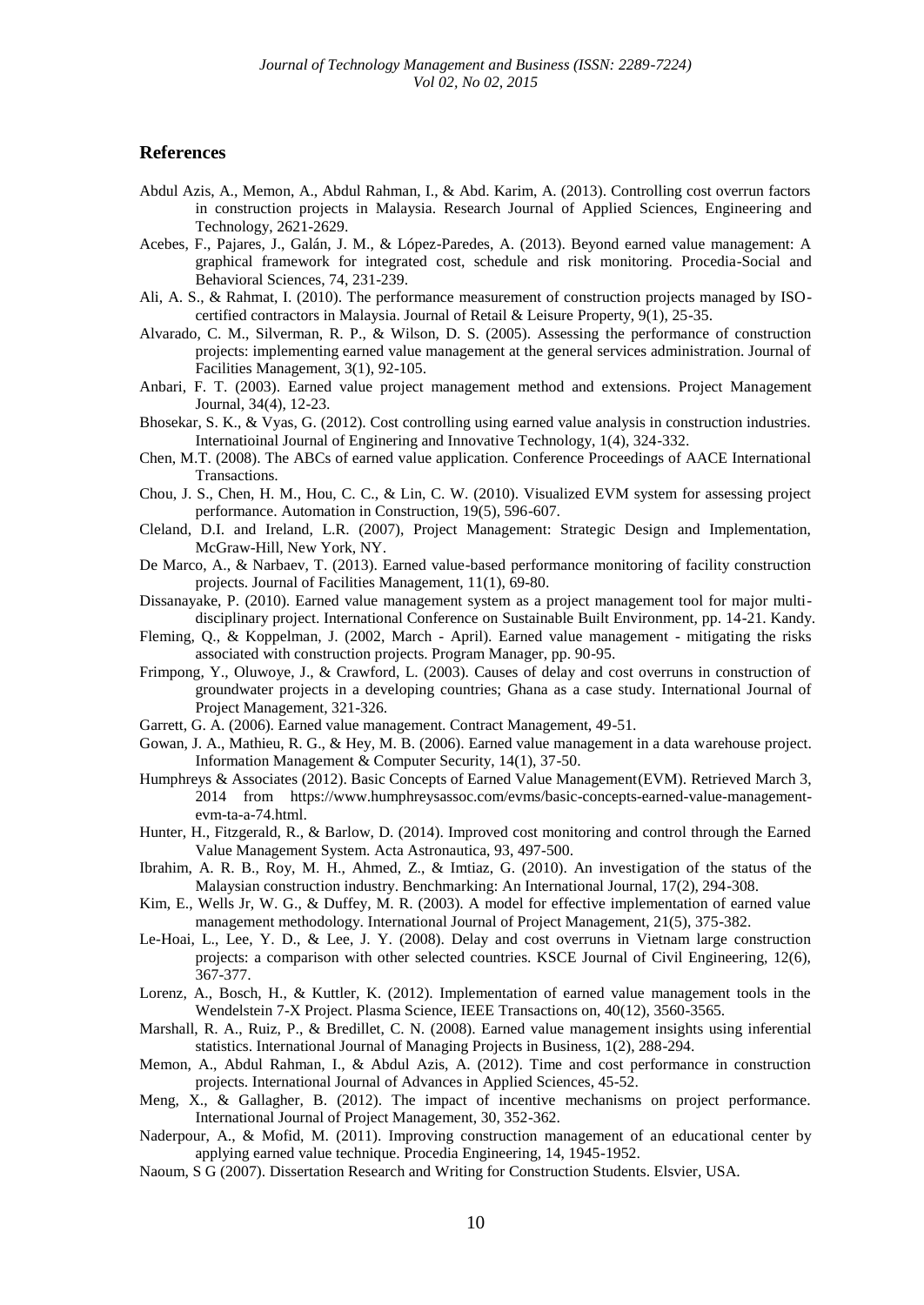### **References**

- Abdul Azis, A., Memon, A., Abdul Rahman, I., & Abd. Karim, A. (2013). Controlling cost overrun factors in construction projects in Malaysia. Research Journal of Applied Sciences, Engineering and Technology, 2621-2629.
- Acebes, F., Pajares, J., Galán, J. M., & López-Paredes, A. (2013). Beyond earned value management: A graphical framework for integrated cost, schedule and risk monitoring. Procedia-Social and Behavioral Sciences, 74, 231-239.
- Ali, A. S., & Rahmat, I. (2010). The performance measurement of construction projects managed by ISOcertified contractors in Malaysia. Journal of Retail & Leisure Property, 9(1), 25-35.
- Alvarado, C. M., Silverman, R. P., & Wilson, D. S. (2005). Assessing the performance of construction projects: implementing earned value management at the general services administration. Journal of Facilities Management, 3(1), 92-105.
- Anbari, F. T. (2003). Earned value project management method and extensions. Project Management Journal, 34(4), 12-23.
- Bhosekar, S. K., & Vyas, G. (2012). Cost controlling using earned value analysis in construction industries. Internatioinal Journal of Enginering and Innovative Technology, 1(4), 324-332.
- Chen, M.T. (2008). The ABCs of earned value application. Conference Proceedings of AACE International Transactions.
- Chou, J. S., Chen, H. M., Hou, C. C., & Lin, C. W. (2010). Visualized EVM system for assessing project performance. Automation in Construction, 19(5), 596-607.
- Cleland, D.I. and Ireland, L.R. (2007), Project Management: Strategic Design and Implementation, McGraw-Hill, New York, NY.
- De Marco, A., & Narbaev, T. (2013). Earned value-based performance monitoring of facility construction projects. Journal of Facilities Management, 11(1), 69-80.
- Dissanayake, P. (2010). Earned value management system as a project management tool for major multidisciplinary project. International Conference on Sustainable Built Environment, pp. 14-21. Kandy.
- Fleming, Q., & Koppelman, J. (2002, March April). Earned value management mitigating the risks associated with construction projects. Program Manager, pp. 90-95.
- Frimpong, Y., Oluwoye, J., & Crawford, L. (2003). Causes of delay and cost overruns in construction of groundwater projects in a developing countries; Ghana as a case study. International Journal of Project Management, 321-326.
- Garrett, G. A. (2006). Earned value management. Contract Management, 49-51.
- Gowan, J. A., Mathieu, R. G., & Hey, M. B. (2006). Earned value management in a data warehouse project. Information Management & Computer Security, 14(1), 37-50.
- Humphreys & Associates (2012). Basic Concepts of Earned Value Management(EVM). Retrieved March 3, 2014 from https://www.humphreysassoc.com/evms/basic-concepts-earned-value-managementevm-ta-a-74.html.
- Hunter, H., Fitzgerald, R., & Barlow, D. (2014). Improved cost monitoring and control through the Earned Value Management System. Acta Astronautica, 93, 497-500.
- Ibrahim, A. R. B., Roy, M. H., Ahmed, Z., & Imtiaz, G. (2010). An investigation of the status of the Malaysian construction industry. Benchmarking: An International Journal, 17(2), 294-308.
- Kim, E., Wells Jr, W. G., & Duffey, M. R. (2003). A model for effective implementation of earned value management methodology. International Journal of Project Management, 21(5), 375-382.
- Le-Hoai, L., Lee, Y. D., & Lee, J. Y. (2008). Delay and cost overruns in Vietnam large construction projects: a comparison with other selected countries. KSCE Journal of Civil Engineering, 12(6), 367-377.
- Lorenz, A., Bosch, H., & Kuttler, K. (2012). Implementation of earned value management tools in the Wendelstein 7-X Project. Plasma Science, IEEE Transactions on, 40(12), 3560-3565.
- Marshall, R. A., Ruiz, P., & Bredillet, C. N. (2008). Earned value management insights using inferential statistics. International Journal of Managing Projects in Business, 1(2), 288-294.
- Memon, A., Abdul Rahman, I., & Abdul Azis, A. (2012). Time and cost performance in construction projects. International Journal of Advances in Applied Sciences, 45-52.
- Meng, X., & Gallagher, B. (2012). The impact of incentive mechanisms on project performance. International Journal of Project Management, 30, 352-362.
- Naderpour, A., & Mofid, M. (2011). Improving construction management of an educational center by applying earned value technique. Procedia Engineering, 14, 1945-1952.
- Naoum, S G (2007). Dissertation Research and Writing for Construction Students. Elsvier, USA.